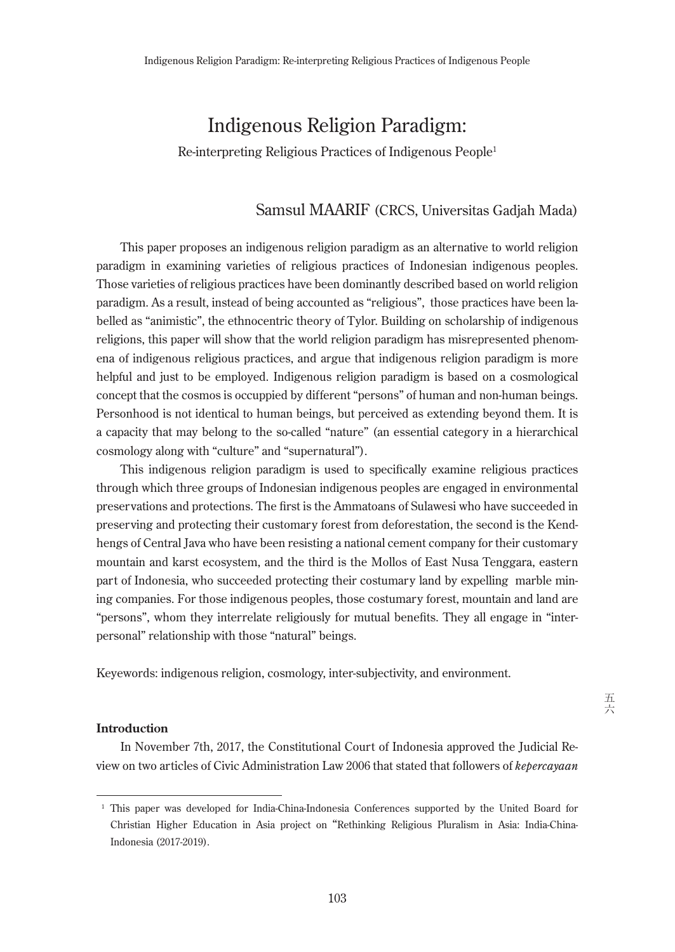# Indigenous Religion Paradigm:

Re-interpreting Religious Practices of Indigenous People1

# Samsul MAARIF (CRCS, Universitas Gadjah Mada)

This paper proposes an indigenous religion paradigm as an alternative to world religion paradigm in examining varieties of religious practices of Indonesian indigenous peoples. Those varieties of religious practices have been dominantly described based on world religion paradigm. As a result, instead of being accounted as "religious", those practices have been labelled as "animistic", the ethnocentric theory of Tylor. Building on scholarship of indigenous religions, this paper will show that the world religion paradigm has misrepresented phenomena of indigenous religious practices, and argue that indigenous religion paradigm is more helpful and just to be employed. Indigenous religion paradigm is based on a cosmological concept that the cosmos is occuppied by different "persons" of human and non-human beings. Personhood is not identical to human beings, but perceived as extending beyond them. It is a capacity that may belong to the so-called "nature" (an essential category in a hierarchical cosmology along with "culture" and "supernatural").

This indigenous religion paradigm is used to specifically examine religious practices through which three groups of Indonesian indigenous peoples are engaged in environmental preservations and protections. The first is the Ammatoans of Sulawesi who have succeeded in preserving and protecting their customary forest from deforestation, the second is the Kendhengs of Central Java who have been resisting a national cement company for their customary mountain and karst ecosystem, and the third is the Mollos of East Nusa Tenggara, eastern part of Indonesia, who succeeded protecting their costumary land by expelling marble mining companies. For those indigenous peoples, those costumary forest, mountain and land are "persons", whom they interrelate religiously for mutual benefits. They all engage in "interpersonal" relationship with those "natural" beings.

Keyewords: indigenous religion, cosmology, inter-subjectivity, and environment.

# **Introduction**

In November 7th, 2017, the Constitutional Court of Indonesia approved the Judicial Review on two articles of Civic Administration Law 2006 that stated that followers of *kepercayaan* 

<sup>&</sup>lt;sup>1</sup> This paper was developed for India-China-Indonesia Conferences supported by the United Board for Christian Higher Education in Asia project on "Rethinking Religious Pluralism in Asia: India-China-Indonesia (2017-2019).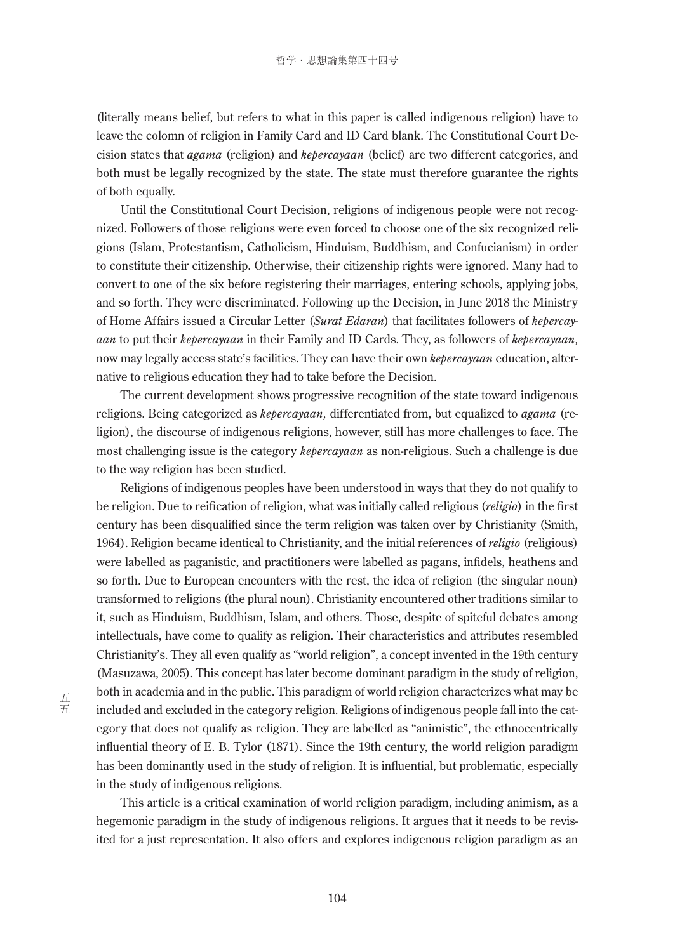(literally means belief, but refers to what in this paper is called indigenous religion) have to leave the colomn of religion in Family Card and ID Card blank. The Constitutional Court Decision states that *agama* (religion) and *kepercayaan* (belief) are two different categories, and both must be legally recognized by the state. The state must therefore guarantee the rights of both equally.

Until the Constitutional Court Decision, religions of indigenous people were not recognized. Followers of those religions were even forced to choose one of the six recognized religions (Islam, Protestantism, Catholicism, Hinduism, Buddhism, and Confucianism) in order to constitute their citizenship. Otherwise, their citizenship rights were ignored. Many had to convert to one of the six before registering their marriages, entering schools, applying jobs, and so forth. They were discriminated. Following up the Decision, in June 2018 the Ministry of Home Affairs issued a Circular Letter (*Surat Edaran*) that facilitates followers of *kepercayaan* to put their *kepercayaan* in their Family and ID Cards. They, as followers of *kepercayaan,* now may legally access state's facilities. They can have their own *kepercayaan* education, alternative to religious education they had to take before the Decision.

The current development shows progressive recognition of the state toward indigenous religions. Being categorized as *kepercayaan,* differentiated from, but equalized to *agama* (religion), the discourse of indigenous religions, however, still has more challenges to face. The most challenging issue is the category *kepercayaan* as non-religious. Such a challenge is due to the way religion has been studied.

Religions of indigenous peoples have been understood in ways that they do not qualify to be religion. Due to reification of religion, what was initially called religious (*religio*) in the first century has been disqualified since the term religion was taken over by Christianity (Smith, 1964). Religion became identical to Christianity, and the initial references of *religio* (religious) were labelled as paganistic, and practitioners were labelled as pagans, infidels, heathens and so forth. Due to European encounters with the rest, the idea of religion (the singular noun) transformed to religions (the plural noun). Christianity encountered other traditions similar to it, such as Hinduism, Buddhism, Islam, and others. Those, despite of spiteful debates among intellectuals, have come to qualify as religion. Their characteristics and attributes resembled Christianity's. They all even qualify as "world religion", a concept invented in the 19th century (Masuzawa, 2005). This concept has later become dominant paradigm in the study of religion, both in academia and in the public. This paradigm of world religion characterizes what may be included and excluded in the category religion. Religions of indigenous people fall into the category that does not qualify as religion. They are labelled as "animistic", the ethnocentrically influential theory of E. B. Tylor (1871). Since the 19th century, the world religion paradigm has been dominantly used in the study of religion. It is influential, but problematic, especially in the study of indigenous religions.

This article is a critical examination of world religion paradigm, including animism, as a hegemonic paradigm in the study of indigenous religions. It argues that it needs to be revisited for a just representation. It also offers and explores indigenous religion paradigm as an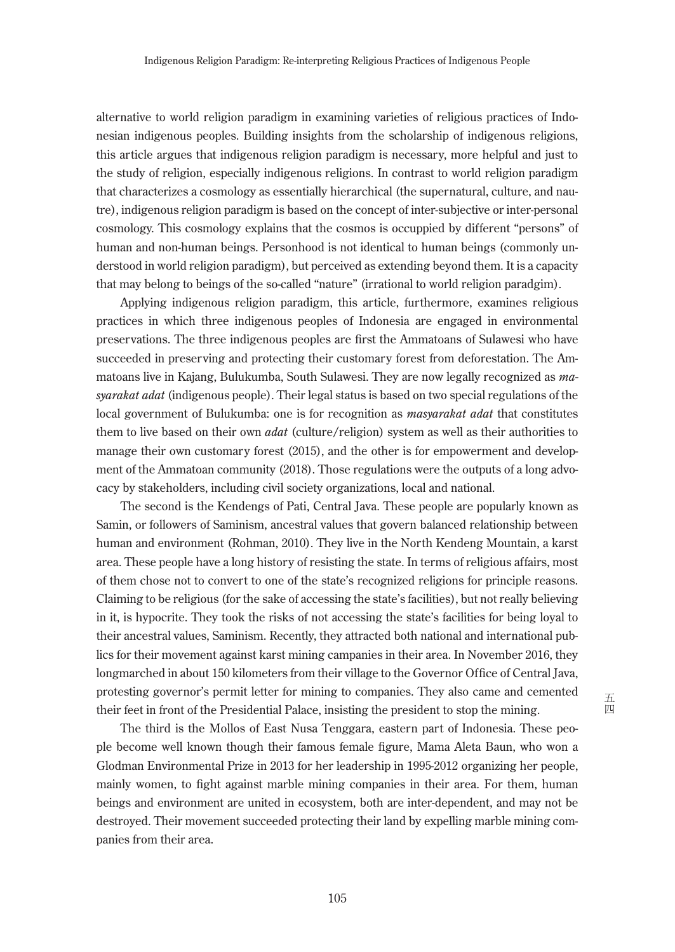alternative to world religion paradigm in examining varieties of religious practices of Indonesian indigenous peoples. Building insights from the scholarship of indigenous religions, this article argues that indigenous religion paradigm is necessary, more helpful and just to the study of religion, especially indigenous religions. In contrast to world religion paradigm that characterizes a cosmology as essentially hierarchical (the supernatural, culture, and nautre), indigenous religion paradigm is based on the concept of inter-subjective or inter-personal cosmology. This cosmology explains that the cosmos is occuppied by different "persons" of human and non-human beings. Personhood is not identical to human beings (commonly understood in world religion paradigm), but perceived as extending beyond them. It is a capacity that may belong to beings of the so-called "nature" (irrational to world religion paradgim).

Applying indigenous religion paradigm, this article, furthermore, examines religious practices in which three indigenous peoples of Indonesia are engaged in environmental preservations. The three indigenous peoples are first the Ammatoans of Sulawesi who have succeeded in preserving and protecting their customary forest from deforestation. The Ammatoans live in Kajang, Bulukumba, South Sulawesi. They are now legally recognized as *masyarakat adat* (indigenous people). Their legal status is based on two special regulations of the local government of Bulukumba: one is for recognition as *masyarakat adat* that constitutes them to live based on their own *adat* (culture/religion) system as well as their authorities to manage their own customary forest (2015), and the other is for empowerment and development of the Ammatoan community (2018). Those regulations were the outputs of a long advocacy by stakeholders, including civil society organizations, local and national.

The second is the Kendengs of Pati, Central Java. These people are popularly known as Samin, or followers of Saminism, ancestral values that govern balanced relationship between human and environment (Rohman, 2010). They live in the North Kendeng Mountain, a karst area. These people have a long history of resisting the state. In terms of religious affairs, most of them chose not to convert to one of the state's recognized religions for principle reasons. Claiming to be religious (for the sake of accessing the state's facilities), but not really believing in it, is hypocrite. They took the risks of not accessing the state's facilities for being loyal to their ancestral values, Saminism. Recently, they attracted both national and international publics for their movement against karst mining campanies in their area. In November 2016, they longmarched in about 150 kilometers from their village to the Governor Office of Central Java, protesting governor's permit letter for mining to companies. They also came and cemented their feet in front of the Presidential Palace, insisting the president to stop the mining.

The third is the Mollos of East Nusa Tenggara, eastern part of Indonesia. These people become well known though their famous female figure, Mama Aleta Baun, who won a Glodman Environmental Prize in 2013 for her leadership in 1995-2012 organizing her people, mainly women, to fight against marble mining companies in their area. For them, human beings and environment are united in ecosystem, both are inter-dependent, and may not be destroyed. Their movement succeeded protecting their land by expelling marble mining companies from their area.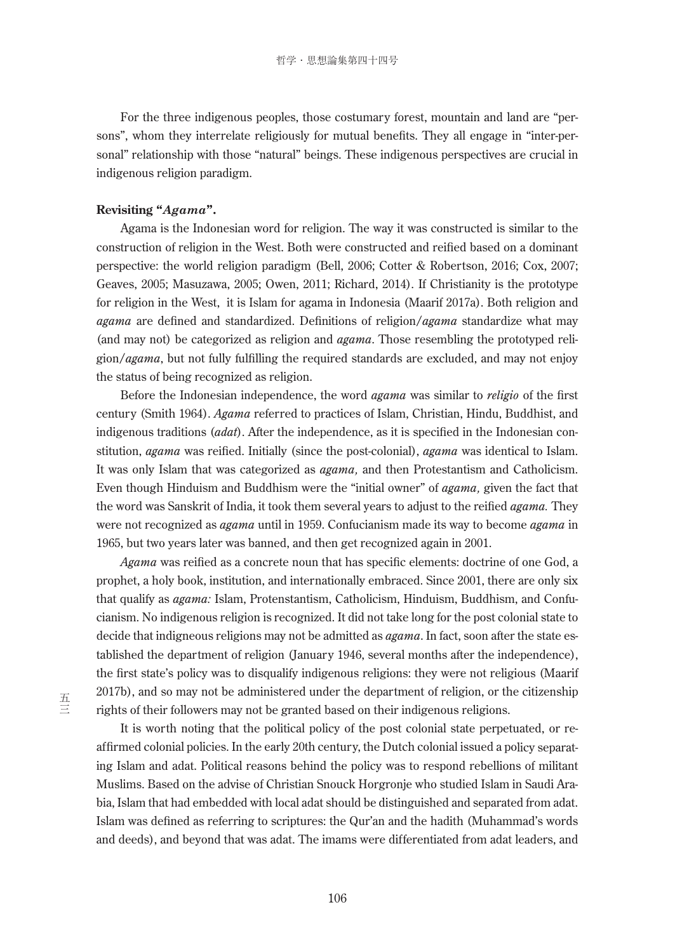For the three indigenous peoples, those costumary forest, mountain and land are "persons", whom they interrelate religiously for mutual benefits. They all engage in "inter-personal" relationship with those "natural" beings. These indigenous perspectives are crucial in indigenous religion paradigm.

# **Revisiting "***Agama***".**

Agama is the Indonesian word for religion. The way it was constructed is similar to the construction of religion in the West. Both were constructed and reified based on a dominant perspective: the world religion paradigm (Bell, 2006; Cotter & Robertson, 2016; Cox, 2007; Geaves, 2005; Masuzawa, 2005; Owen, 2011; Richard, 2014). If Christianity is the prototype for religion in the West, it is Islam for agama in Indonesia (Maarif 2017a). Both religion and *agama* are defined and standardized. Definitions of religion/*agama* standardize what may (and may not) be categorized as religion and *agama*. Those resembling the prototyped religion/*agama*, but not fully fulfilling the required standards are excluded, and may not enjoy the status of being recognized as religion.

Before the Indonesian independence, the word *agama* was similar to *religio* of the first century (Smith 1964). *Agama* referred to practices of Islam, Christian, Hindu, Buddhist, and indigenous traditions (*adat*). After the independence, as it is specified in the Indonesian constitution, *agama* was reified. Initially (since the post-colonial), *agama* was identical to Islam. It was only Islam that was categorized as *agama,* and then Protestantism and Catholicism. Even though Hinduism and Buddhism were the "initial owner" of *agama,* given the fact that the word was Sanskrit of India, it took them several years to adjust to the reified *agama.* They were not recognized as *agama* until in 1959. Confucianism made its way to become *agama* in 1965, but two years later was banned, and then get recognized again in 2001.

*Agama* was reified as a concrete noun that has specific elements: doctrine of one God, a prophet, a holy book, institution, and internationally embraced. Since 2001, there are only six that qualify as *agama:* Islam, Protenstantism, Catholicism, Hinduism, Buddhism, and Confucianism. No indigenous religion is recognized. It did not take long for the post colonial state to decide that indigneous religions may not be admitted as *agama*. In fact, soon after the state established the department of religion (January 1946, several months after the independence), the first state's policy was to disqualify indigenous religions: they were not religious (Maarif 2017b), and so may not be administered under the department of religion, or the citizenship rights of their followers may not be granted based on their indigenous religions.

It is worth noting that the political policy of the post colonial state perpetuated, or reaffirmed colonial policies. In the early 20th century, the Dutch colonial issued a policy separating Islam and adat. Political reasons behind the policy was to respond rebellions of militant Muslims. Based on the advise of Christian Snouck Horgronje who studied Islam in Saudi Arabia, Islam that had embedded with local adat should be distinguished and separated from adat. Islam was defined as referring to scriptures: the Qur'an and the hadith (Muhammad's words and deeds), and beyond that was adat. The imams were differentiated from adat leaders, and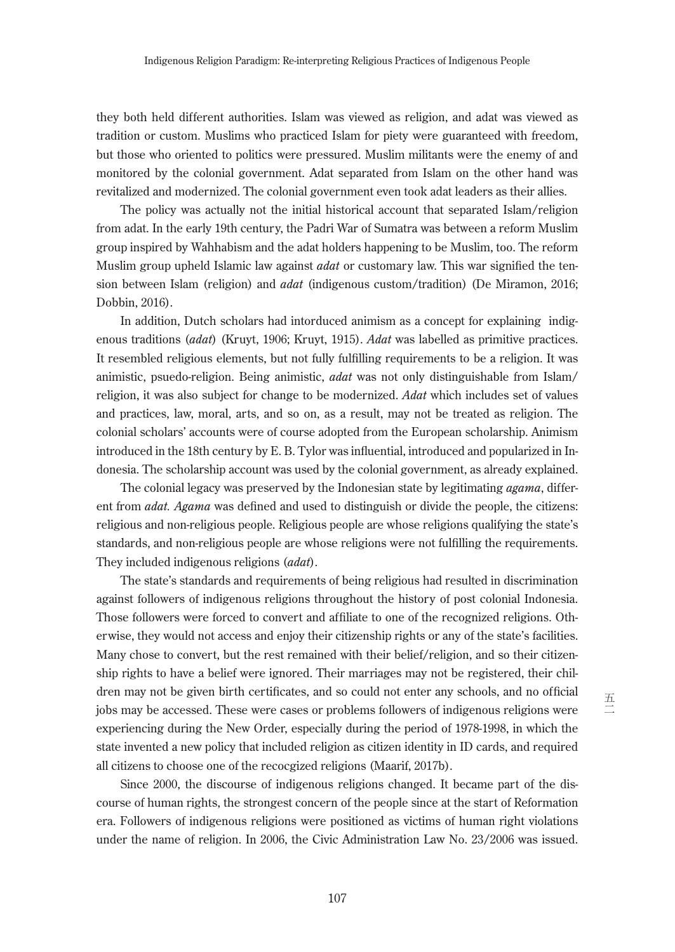they both held different authorities. Islam was viewed as religion, and adat was viewed as tradition or custom. Muslims who practiced Islam for piety were guaranteed with freedom, but those who oriented to politics were pressured. Muslim militants were the enemy of and monitored by the colonial government. Adat separated from Islam on the other hand was revitalized and modernized. The colonial government even took adat leaders as their allies.

The policy was actually not the initial historical account that separated Islam/religion from adat. In the early 19th century, the Padri War of Sumatra was between a reform Muslim group inspired by Wahhabism and the adat holders happening to be Muslim, too. The reform Muslim group upheld Islamic law against *adat* or customary law. This war signified the tension between Islam (religion) and *adat* (indigenous custom/tradition) (De Miramon, 2016; Dobbin, 2016).

In addition, Dutch scholars had intorduced animism as a concept for explaining indigenous traditions (*adat*) (Kruyt, 1906; Kruyt, 1915). *Adat* was labelled as primitive practices. It resembled religious elements, but not fully fulfilling requirements to be a religion. It was animistic, psuedo-religion. Being animistic, *adat* was not only distinguishable from Islam/ religion, it was also subject for change to be modernized. *Adat* which includes set of values and practices, law, moral, arts, and so on, as a result, may not be treated as religion. The colonial scholars' accounts were of course adopted from the European scholarship. Animism introduced in the 18th century by E. B. Tylor was influential, introduced and popularized in Indonesia. The scholarship account was used by the colonial government, as already explained.

The colonial legacy was preserved by the Indonesian state by legitimating *agama*, different from *adat. Agama* was defined and used to distinguish or divide the people, the citizens: religious and non-religious people. Religious people are whose religions qualifying the state's standards, and non-religious people are whose religions were not fulfilling the requirements. They included indigenous religions (*adat*).

The state's standards and requirements of being religious had resulted in discrimination against followers of indigenous religions throughout the history of post colonial Indonesia. Those followers were forced to convert and affiliate to one of the recognized religions. Otherwise, they would not access and enjoy their citizenship rights or any of the state's facilities. Many chose to convert, but the rest remained with their belief/religion, and so their citizenship rights to have a belief were ignored. Their marriages may not be registered, their children may not be given birth certificates, and so could not enter any schools, and no official jobs may be accessed. These were cases or problems followers of indigenous religions were experiencing during the New Order, especially during the period of 1978-1998, in which the state invented a new policy that included religion as citizen identity in ID cards, and required all citizens to choose one of the recocgized religions (Maarif, 2017b).

Since 2000, the discourse of indigenous religions changed. It became part of the discourse of human rights, the strongest concern of the people since at the start of Reformation era. Followers of indigenous religions were positioned as victims of human right violations under the name of religion. In 2006, the Civic Administration Law No. 23/2006 was issued.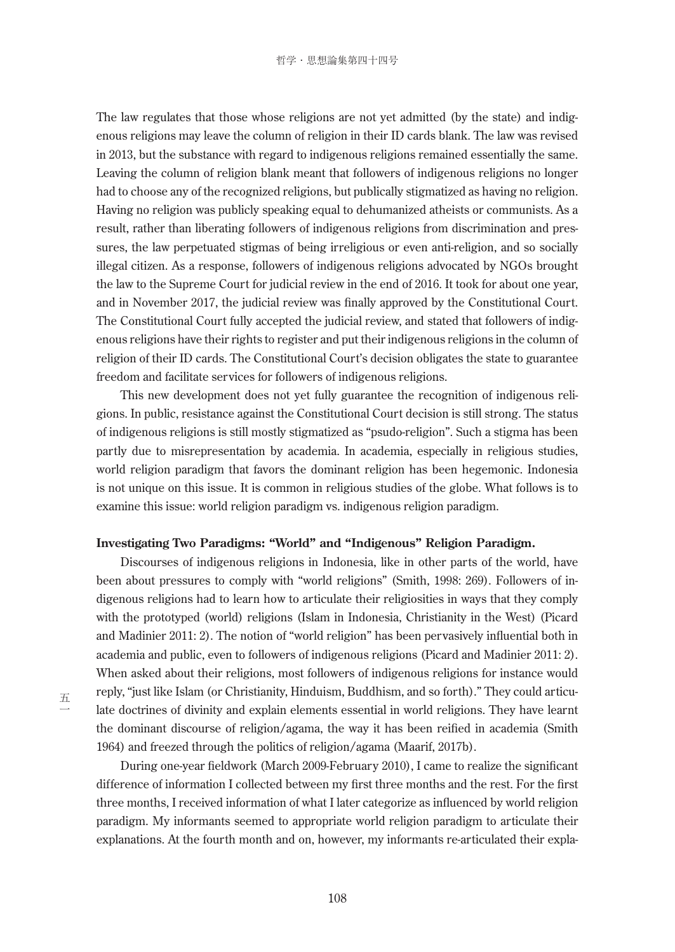The law regulates that those whose religions are not yet admitted (by the state) and indigenous religions may leave the column of religion in their ID cards blank. The law was revised in 2013, but the substance with regard to indigenous religions remained essentially the same. Leaving the column of religion blank meant that followers of indigenous religions no longer had to choose any of the recognized religions, but publically stigmatized as having no religion. Having no religion was publicly speaking equal to dehumanized atheists or communists. As a result, rather than liberating followers of indigenous religions from discrimination and pressures, the law perpetuated stigmas of being irreligious or even anti-religion, and so socially illegal citizen. As a response, followers of indigenous religions advocated by NGOs brought the law to the Supreme Court for judicial review in the end of 2016. It took for about one year, and in November 2017, the judicial review was finally approved by the Constitutional Court. The Constitutional Court fully accepted the judicial review, and stated that followers of indigenous religions have their rights to register and put their indigenous religions in the column of religion of their ID cards. The Constitutional Court's decision obligates the state to guarantee freedom and facilitate services for followers of indigenous religions.

This new development does not yet fully guarantee the recognition of indigenous religions. In public, resistance against the Constitutional Court decision is still strong. The status of indigenous religions is still mostly stigmatized as "psudo-religion". Such a stigma has been partly due to misrepresentation by academia. In academia, especially in religious studies, world religion paradigm that favors the dominant religion has been hegemonic. Indonesia is not unique on this issue. It is common in religious studies of the globe. What follows is to examine this issue: world religion paradigm vs. indigenous religion paradigm.

#### **Investigating Two Paradigms: "World" and "Indigenous" Religion Paradigm.**

Discourses of indigenous religions in Indonesia, like in other parts of the world, have been about pressures to comply with "world religions" (Smith, 1998: 269). Followers of indigenous religions had to learn how to articulate their religiosities in ways that they comply with the prototyped (world) religions (Islam in Indonesia, Christianity in the West) (Picard and Madinier 2011: 2). The notion of "world religion" has been pervasively influential both in academia and public, even to followers of indigenous religions (Picard and Madinier 2011: 2). When asked about their religions, most followers of indigenous religions for instance would reply, "just like Islam (or Christianity, Hinduism, Buddhism, and so forth)." They could articulate doctrines of divinity and explain elements essential in world religions. They have learnt the dominant discourse of religion/agama, the way it has been reified in academia (Smith 1964) and freezed through the politics of religion/agama (Maarif, 2017b).

During one-year fieldwork (March 2009-February 2010), I came to realize the significant difference of information I collected between my first three months and the rest. For the first three months, I received information of what I later categorize as influenced by world religion paradigm. My informants seemed to appropriate world religion paradigm to articulate their explanations. At the fourth month and on, however, my informants re-articulated their expla-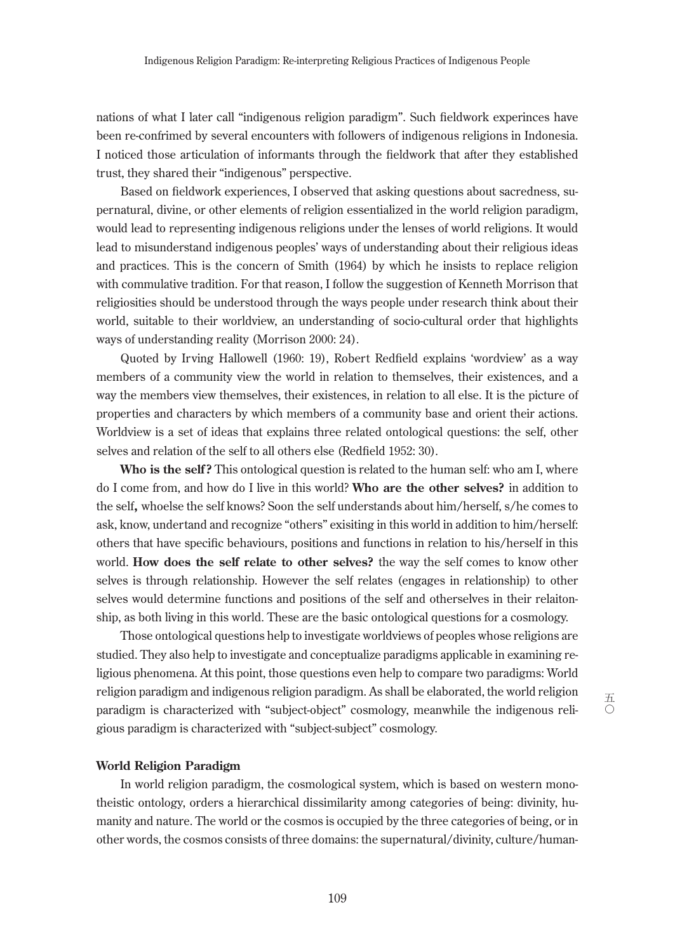nations of what I later call "indigenous religion paradigm". Such fieldwork experinces have been re-confrimed by several encounters with followers of indigenous religions in Indonesia. I noticed those articulation of informants through the fieldwork that after they established trust, they shared their "indigenous" perspective.

Based on fieldwork experiences, I observed that asking questions about sacredness, supernatural, divine, or other elements of religion essentialized in the world religion paradigm, would lead to representing indigenous religions under the lenses of world religions. It would lead to misunderstand indigenous peoples' ways of understanding about their religious ideas and practices. This is the concern of Smith (1964) by which he insists to replace religion with commulative tradition. For that reason, I follow the suggestion of Kenneth Morrison that religiosities should be understood through the ways people under research think about their world, suitable to their worldview, an understanding of socio-cultural order that highlights ways of understanding reality (Morrison 2000: 24).

Quoted by Irving Hallowell (1960: 19), Robert Redfield explains 'wordview' as a way members of a community view the world in relation to themselves, their existences, and a way the members view themselves, their existences, in relation to all else. It is the picture of properties and characters by which members of a community base and orient their actions. Worldview is a set of ideas that explains three related ontological questions: the self, other selves and relation of the self to all others else (Redfield 1952: 30).

Who is the self? This ontological question is related to the human self: who am I, where do I come from, and how do I live in this world? **Who are the other selves?** in addition to the self**,** whoelse the self knows? Soon the self understands about him/herself, s/he comes to ask, know, undertand and recognize "others" exisiting in this world in addition to him/herself: others that have specific behaviours, positions and functions in relation to his/herself in this world. **How does the self relate to other selves?** the way the self comes to know other selves is through relationship. However the self relates (engages in relationship) to other selves would determine functions and positions of the self and otherselves in their relaitonship, as both living in this world. These are the basic ontological questions for a cosmology.

Those ontological questions help to investigate worldviews of peoples whose religions are studied. They also help to investigate and conceptualize paradigms applicable in examining religious phenomena. At this point, those questions even help to compare two paradigms: World religion paradigm and indigenous religion paradigm. As shall be elaborated, the world religion paradigm is characterized with "subject-object" cosmology, meanwhile the indigenous religious paradigm is characterized with "subject-subject" cosmology.

## **World Religion Paradigm**

In world religion paradigm, the cosmological system, which is based on western monotheistic ontology, orders a hierarchical dissimilarity among categories of being: divinity, humanity and nature. The world or the cosmos is occupied by the three categories of being, or in other words, the cosmos consists of three domains: the supernatural/divinity, culture/human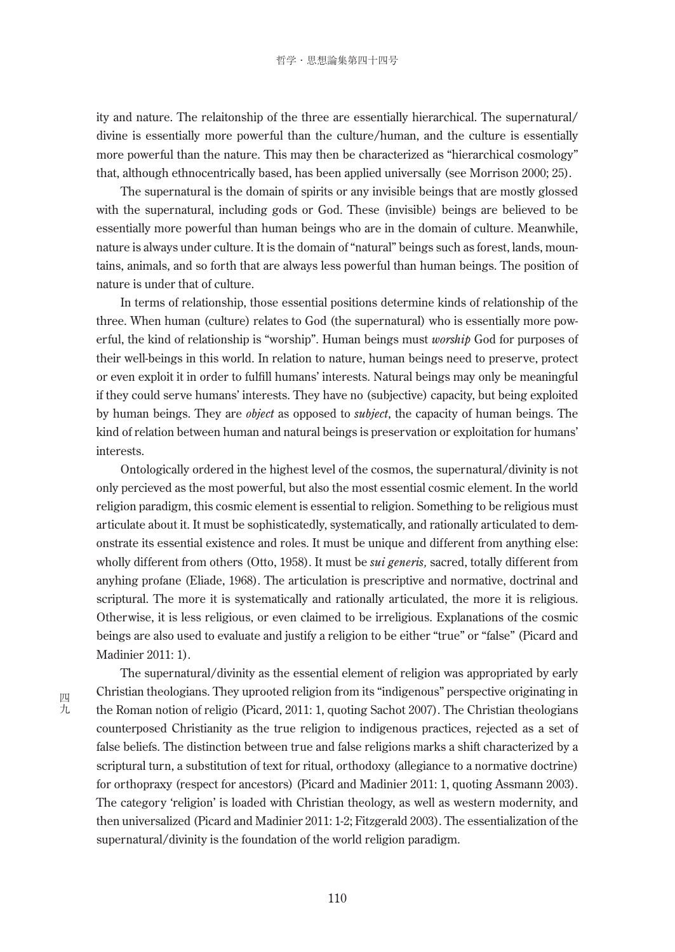ity and nature. The relaitonship of the three are essentially hierarchical. The supernatural/ divine is essentially more powerful than the culture/human, and the culture is essentially more powerful than the nature. This may then be characterized as "hierarchical cosmology" that, although ethnocentrically based, has been applied universally (see Morrison 2000; 25).

The supernatural is the domain of spirits or any invisible beings that are mostly glossed with the supernatural, including gods or God. These (invisible) beings are believed to be essentially more powerful than human beings who are in the domain of culture. Meanwhile, nature is always under culture. It is the domain of "natural" beings such as forest, lands, mountains, animals, and so forth that are always less powerful than human beings. The position of nature is under that of culture.

In terms of relationship, those essential positions determine kinds of relationship of the three. When human (culture) relates to God (the supernatural) who is essentially more powerful, the kind of relationship is "worship". Human beings must *worship* God for purposes of their well-beings in this world. In relation to nature, human beings need to preserve, protect or even exploit it in order to fulfill humans' interests. Natural beings may only be meaningful if they could serve humans' interests. They have no (subjective) capacity, but being exploited by human beings. They are *object* as opposed to *subject*, the capacity of human beings. The kind of relation between human and natural beings is preservation or exploitation for humans' interests.

Ontologically ordered in the highest level of the cosmos, the supernatural/divinity is not only percieved as the most powerful, but also the most essential cosmic element. In the world religion paradigm, this cosmic element is essential to religion. Something to be religious must articulate about it. It must be sophisticatedly, systematically, and rationally articulated to demonstrate its essential existence and roles. It must be unique and different from anything else: wholly different from others (Otto, 1958). It must be *sui generis,* sacred, totally different from anyhing profane (Eliade, 1968). The articulation is prescriptive and normative, doctrinal and scriptural. The more it is systematically and rationally articulated, the more it is religious. Otherwise, it is less religious, or even claimed to be irreligious. Explanations of the cosmic beings are also used to evaluate and justify a religion to be either "true" or "false" (Picard and Madinier 2011: 1).

四 九

The supernatural/divinity as the essential element of religion was appropriated by early Christian theologians. They uprooted religion from its "indigenous" perspective originating in the Roman notion of religio (Picard, 2011: 1, quoting Sachot 2007). The Christian theologians counterposed Christianity as the true religion to indigenous practices, rejected as a set of false beliefs. The distinction between true and false religions marks a shift characterized by a scriptural turn, a substitution of text for ritual, orthodoxy (allegiance to a normative doctrine) for orthopraxy (respect for ancestors) (Picard and Madinier 2011: 1, quoting Assmann 2003). The category 'religion' is loaded with Christian theology, as well as western modernity, and then universalized (Picard and Madinier 2011: 1-2; Fitzgerald 2003). The essentialization of the supernatural/divinity is the foundation of the world religion paradigm.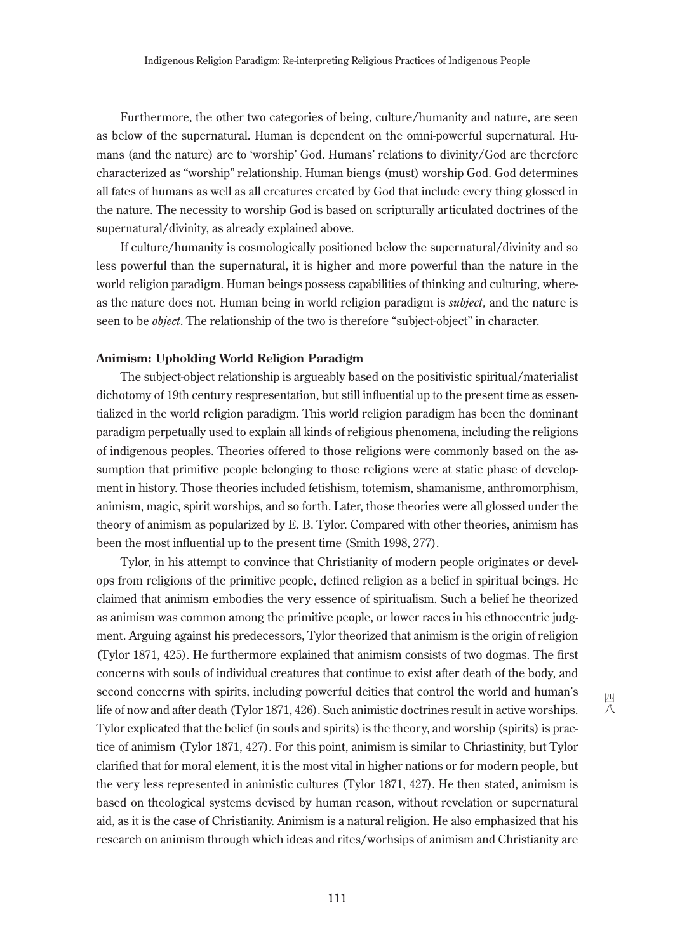Furthermore, the other two categories of being, culture/humanity and nature, are seen as below of the supernatural. Human is dependent on the omni-powerful supernatural. Humans (and the nature) are to 'worship' God. Humans' relations to divinity/God are therefore characterized as "worship" relationship. Human biengs (must) worship God. God determines all fates of humans as well as all creatures created by God that include every thing glossed in the nature. The necessity to worship God is based on scripturally articulated doctrines of the supernatural/divinity, as already explained above.

If culture/humanity is cosmologically positioned below the supernatural/divinity and so less powerful than the supernatural, it is higher and more powerful than the nature in the world religion paradigm. Human beings possess capabilities of thinking and culturing, whereas the nature does not. Human being in world religion paradigm is *subject,* and the nature is seen to be *object*. The relationship of the two is therefore "subject-object" in character.

#### **Animism: Upholding World Religion Paradigm**

The subject-object relationship is argueably based on the positivistic spiritual/materialist dichotomy of 19th century respresentation, but still influential up to the present time as essentialized in the world religion paradigm. This world religion paradigm has been the dominant paradigm perpetually used to explain all kinds of religious phenomena, including the religions of indigenous peoples. Theories offered to those religions were commonly based on the assumption that primitive people belonging to those religions were at static phase of development in history. Those theories included fetishism, totemism, shamanisme, anthromorphism, animism, magic, spirit worships, and so forth. Later, those theories were all glossed under the theory of animism as popularized by E. B. Tylor. Compared with other theories, animism has been the most influential up to the present time (Smith 1998, 277).

Tylor, in his attempt to convince that Christianity of modern people originates or develops from religions of the primitive people, defined religion as a belief in spiritual beings. He claimed that animism embodies the very essence of spiritualism. Such a belief he theorized as animism was common among the primitive people, or lower races in his ethnocentric judgment. Arguing against his predecessors, Tylor theorized that animism is the origin of religion (Tylor 1871, 425). He furthermore explained that animism consists of two dogmas. The first concerns with souls of individual creatures that continue to exist after death of the body, and second concerns with spirits, including powerful deities that control the world and human's life of now and after death (Tylor 1871, 426). Such animistic doctrines result in active worships. Tylor explicated that the belief (in souls and spirits) is the theory, and worship (spirits) is practice of animism (Tylor 1871, 427). For this point, animism is similar to Chriastinity, but Tylor clarified that for moral element, it is the most vital in higher nations or for modern people, but the very less represented in animistic cultures (Tylor 1871, 427). He then stated, animism is based on theological systems devised by human reason, without revelation or supernatural aid, as it is the case of Christianity. Animism is a natural religion. He also emphasized that his research on animism through which ideas and rites/worhsips of animism and Christianity are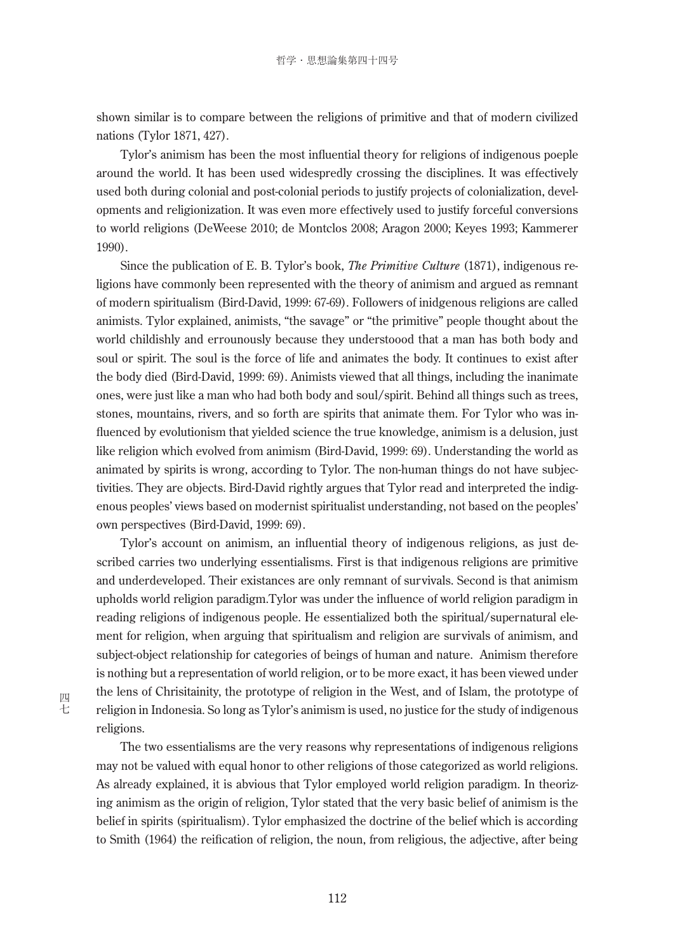shown similar is to compare between the religions of primitive and that of modern civilized nations (Tylor 1871, 427).

Tylor's animism has been the most influential theory for religions of indigenous poeple around the world. It has been used widespredly crossing the disciplines. It was effectively used both during colonial and post-colonial periods to justify projects of colonialization, developments and religionization. It was even more effectively used to justify forceful conversions to world religions (DeWeese 2010; de Montclos 2008; Aragon 2000; Keyes 1993; Kammerer 1990).

Since the publication of E. B. Tylor's book, *The Primitive Culture* (1871), indigenous religions have commonly been represented with the theory of animism and argued as remnant of modern spiritualism (Bird-David, 1999: 67-69). Followers of inidgenous religions are called animists. Tylor explained, animists, "the savage" or "the primitive" people thought about the world childishly and errounously because they understoood that a man has both body and soul or spirit. The soul is the force of life and animates the body. It continues to exist after the body died (Bird-David, 1999: 69). Animists viewed that all things, including the inanimate ones, were just like a man who had both body and soul/spirit. Behind all things such as trees, stones, mountains, rivers, and so forth are spirits that animate them. For Tylor who was influenced by evolutionism that yielded science the true knowledge, animism is a delusion, just like religion which evolved from animism (Bird-David, 1999: 69). Understanding the world as animated by spirits is wrong, according to Tylor. The non-human things do not have subjectivities. They are objects. Bird-David rightly argues that Tylor read and interpreted the indigenous peoples' views based on modernist spiritualist understanding, not based on the peoples' own perspectives (Bird-David, 1999: 69).

Tylor's account on animism, an influential theory of indigenous religions, as just described carries two underlying essentialisms. First is that indigenous religions are primitive and underdeveloped. Their existances are only remnant of survivals. Second is that animism upholds world religion paradigm.Tylor was under the influence of world religion paradigm in reading religions of indigenous people. He essentialized both the spiritual/supernatural element for religion, when arguing that spiritualism and religion are survivals of animism, and subject-object relationship for categories of beings of human and nature. Animism therefore is nothing but a representation of world religion, or to be more exact, it has been viewed under the lens of Chrisitainity, the prototype of religion in the West, and of Islam, the prototype of religion in Indonesia. So long as Tylor's animism is used, no justice for the study of indigenous religions.

The two essentialisms are the very reasons why representations of indigenous religions may not be valued with equal honor to other religions of those categorized as world religions. As already explained, it is abvious that Tylor employed world religion paradigm. In theorizing animism as the origin of religion, Tylor stated that the very basic belief of animism is the belief in spirits (spiritualism). Tylor emphasized the doctrine of the belief which is according to Smith (1964) the reification of religion, the noun, from religious, the adjective, after being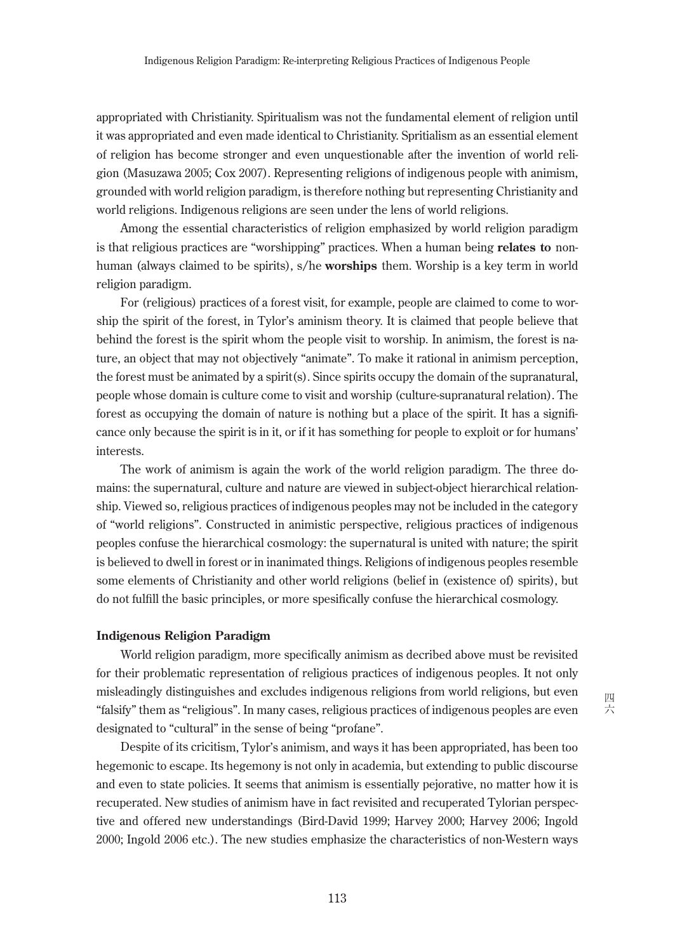appropriated with Christianity. Spiritualism was not the fundamental element of religion until it was appropriated and even made identical to Christianity. Spritialism as an essential element of religion has become stronger and even unquestionable after the invention of world religion (Masuzawa 2005; Cox 2007). Representing religions of indigenous people with animism, grounded with world religion paradigm, is therefore nothing but representing Christianity and world religions. Indigenous religions are seen under the lens of world religions.

Among the essential characteristics of religion emphasized by world religion paradigm is that religious practices are "worshipping" practices. When a human being **relates to** nonhuman (always claimed to be spirits), s/he **worships** them. Worship is a key term in world religion paradigm.

For (religious) practices of a forest visit, for example, people are claimed to come to worship the spirit of the forest, in Tylor's aminism theory. It is claimed that people believe that behind the forest is the spirit whom the people visit to worship. In animism, the forest is nature, an object that may not objectively "animate". To make it rational in animism perception, the forest must be animated by a spirit(s). Since spirits occupy the domain of the supranatural, people whose domain is culture come to visit and worship (culture-supranatural relation). The forest as occupying the domain of nature is nothing but a place of the spirit. It has a significance only because the spirit is in it, or if it has something for people to exploit or for humans' interests.

The work of animism is again the work of the world religion paradigm. The three domains: the supernatural, culture and nature are viewed in subject-object hierarchical relationship. Viewed so, religious practices of indigenous peoples may not be included in the category of "world religions". Constructed in animistic perspective, religious practices of indigenous peoples confuse the hierarchical cosmology: the supernatural is united with nature; the spirit is believed to dwell in forest or in inanimated things. Religions of indigenous peoples resemble some elements of Christianity and other world religions (belief in (existence of) spirits), but do not fulfill the basic principles, or more spesifically confuse the hierarchical cosmology.

# **Indigenous Religion Paradigm**

World religion paradigm, more specifically animism as decribed above must be revisited for their problematic representation of religious practices of indigenous peoples. It not only misleadingly distinguishes and excludes indigenous religions from world religions, but even "falsify" them as "religious". In many cases, religious practices of indigenous peoples are even designated to "cultural" in the sense of being "profane".

Despite of its cricitism, Tylor's animism, and ways it has been appropriated, has been too hegemonic to escape. Its hegemony is not only in academia, but extending to public discourse and even to state policies. It seems that animism is essentially pejorative, no matter how it is recuperated. New studies of animism have in fact revisited and recuperated Tylorian perspective and offered new understandings (Bird-David 1999; Harvey 2000; Harvey 2006; Ingold 2000; Ingold 2006 etc.). The new studies emphasize the characteristics of non-Western ways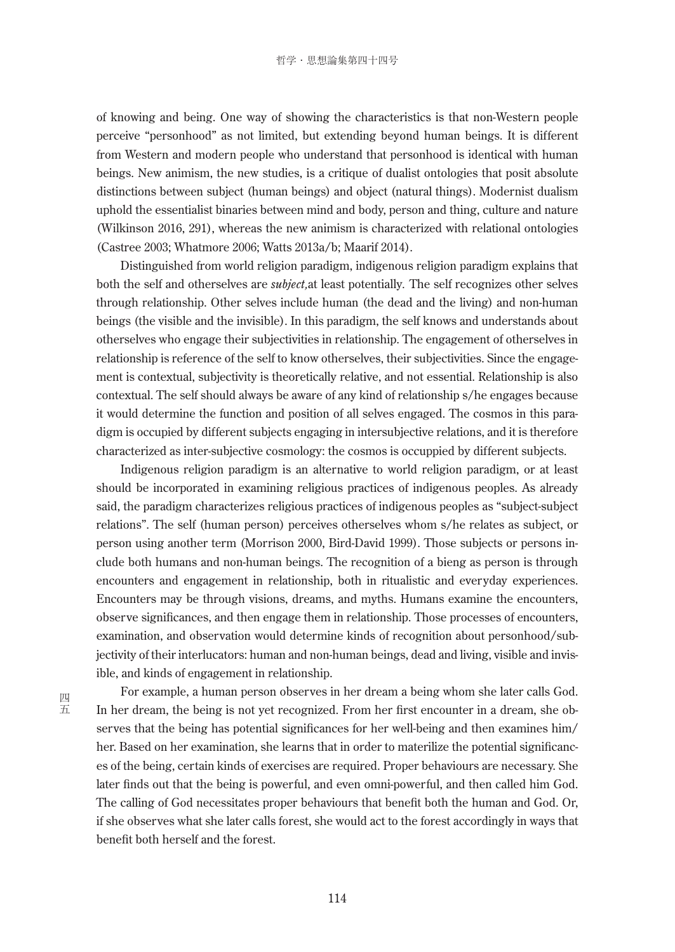of knowing and being. One way of showing the characteristics is that non-Western people perceive "personhood" as not limited, but extending beyond human beings. It is different from Western and modern people who understand that personhood is identical with human beings. New animism, the new studies, is a critique of dualist ontologies that posit absolute distinctions between subject (human beings) and object (natural things). Modernist dualism uphold the essentialist binaries between mind and body, person and thing, culture and nature (Wilkinson 2016, 291), whereas the new animism is characterized with relational ontologies (Castree 2003; Whatmore 2006; Watts 2013a/b; Maarif 2014).

Distinguished from world religion paradigm, indigenous religion paradigm explains that both the self and otherselves are *subject,*at least potentially*.* The self recognizes other selves through relationship. Other selves include human (the dead and the living) and non-human beings (the visible and the invisible). In this paradigm, the self knows and understands about otherselves who engage their subjectivities in relationship. The engagement of otherselves in relationship is reference of the self to know otherselves, their subjectivities. Since the engagement is contextual, subjectivity is theoretically relative, and not essential. Relationship is also contextual. The self should always be aware of any kind of relationship s/he engages because it would determine the function and position of all selves engaged. The cosmos in this paradigm is occupied by different subjects engaging in intersubjective relations, and it is therefore characterized as inter-subjective cosmology: the cosmos is occuppied by different subjects.

Indigenous religion paradigm is an alternative to world religion paradigm, or at least should be incorporated in examining religious practices of indigenous peoples. As already said, the paradigm characterizes religious practices of indigenous peoples as "subject-subject relations". The self (human person) perceives otherselves whom s/he relates as subject, or person using another term (Morrison 2000, Bird-David 1999). Those subjects or persons include both humans and non-human beings. The recognition of a bieng as person is through encounters and engagement in relationship, both in ritualistic and everyday experiences. Encounters may be through visions, dreams, and myths. Humans examine the encounters, observe significances, and then engage them in relationship. Those processes of encounters, examination, and observation would determine kinds of recognition about personhood/subjectivity of their interlucators: human and non-human beings, dead and living, visible and invisible, and kinds of engagement in relationship.

For example, a human person observes in her dream a being whom she later calls God. In her dream, the being is not yet recognized. From her first encounter in a dream, she observes that the being has potential significances for her well-being and then examines him/ her. Based on her examination, she learns that in order to materilize the potential significances of the being, certain kinds of exercises are required. Proper behaviours are necessary. She later finds out that the being is powerful, and even omni-powerful, and then called him God. The calling of God necessitates proper behaviours that benefit both the human and God. Or, if she observes what she later calls forest, she would act to the forest accordingly in ways that benefit both herself and the forest.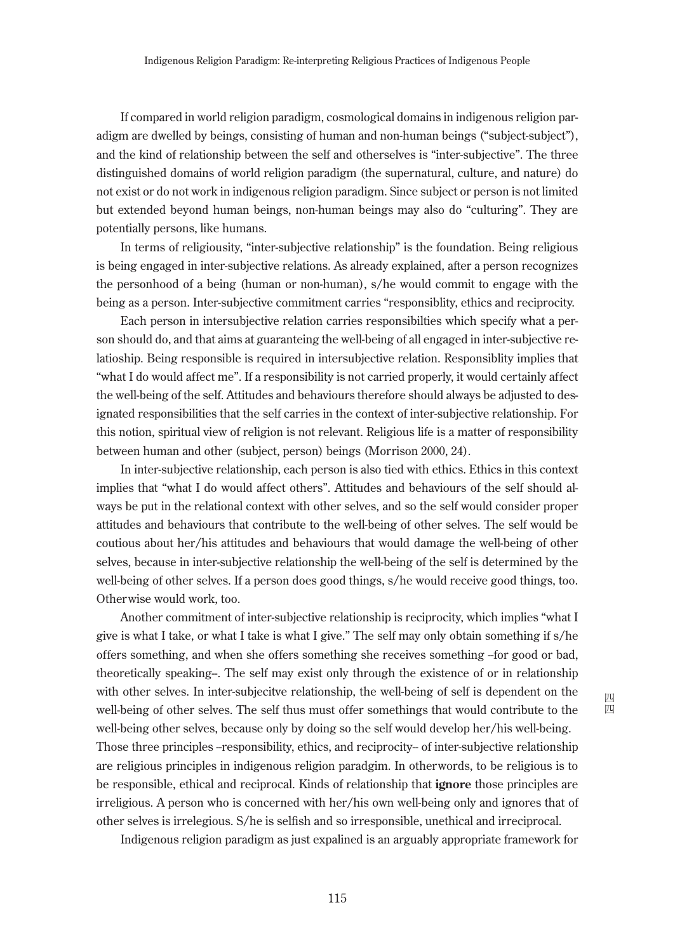If compared in world religion paradigm, cosmological domains in indigenous religion paradigm are dwelled by beings, consisting of human and non-human beings ("subject-subject"), and the kind of relationship between the self and otherselves is "inter-subjective". The three distinguished domains of world religion paradigm (the supernatural, culture, and nature) do not exist or do not work in indigenous religion paradigm. Since subject or person is not limited but extended beyond human beings, non-human beings may also do "culturing". They are potentially persons, like humans.

In terms of religiousity, "inter-subjective relationship" is the foundation. Being religious is being engaged in inter-subjective relations. As already explained, after a person recognizes the personhood of a being (human or non-human), s/he would commit to engage with the being as a person. Inter-subjective commitment carries "responsiblity, ethics and reciprocity.

Each person in intersubjective relation carries responsibilties which specify what a person should do, and that aims at guaranteing the well-being of all engaged in inter-subjective relatioship. Being responsible is required in intersubjective relation. Responsiblity implies that "what I do would affect me". If a responsibility is not carried properly, it would certainly affect the well-being of the self. Attitudes and behaviours therefore should always be adjusted to designated responsibilities that the self carries in the context of inter-subjective relationship. For this notion, spiritual view of religion is not relevant. Religious life is a matter of responsibility between human and other (subject, person) beings (Morrison 2000, 24).

In inter-subjective relationship, each person is also tied with ethics. Ethics in this context implies that "what I do would affect others". Attitudes and behaviours of the self should always be put in the relational context with other selves, and so the self would consider proper attitudes and behaviours that contribute to the well-being of other selves. The self would be coutious about her/his attitudes and behaviours that would damage the well-being of other selves, because in inter-subjective relationship the well-being of the self is determined by the well-being of other selves. If a person does good things, s/he would receive good things, too. Otherwise would work, too.

Another commitment of inter-subjective relationship is reciprocity, which implies "what I give is what I take, or what I take is what I give." The self may only obtain something if s/he offers something, and when she offers something she receives something --for good or bad, theoretically speaking--. The self may exist only through the existence of or in relationship with other selves. In inter-subjecitve relationship, the well-being of self is dependent on the well-being of other selves. The self thus must offer somethings that would contribute to the well-being other selves, because only by doing so the self would develop her/his well-being. Those three principles --responsibility, ethics, and reciprocity- of inter-subjective relationship are religious principles in indigenous religion paradgim. In otherwords, to be religious is to be responsible, ethical and reciprocal. Kinds of relationship that **ignore** those principles are irreligious. A person who is concerned with her/his own well-being only and ignores that of other selves is irrelegious. S/he is selfish and so irresponsible, unethical and irreciprocal.

Indigenous religion paradigm as just expalined is an arguably appropriate framework for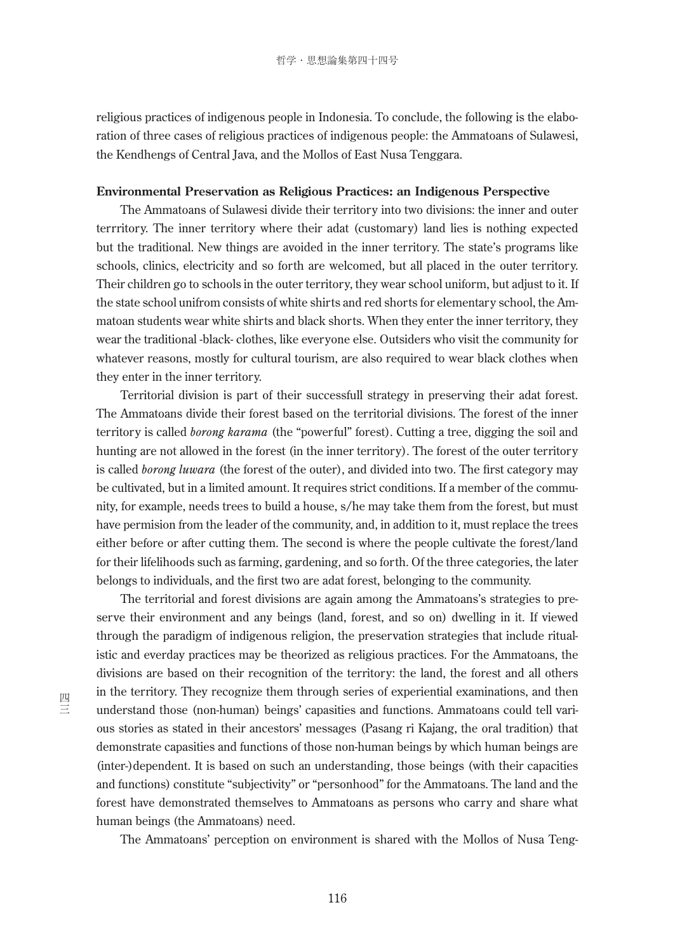religious practices of indigenous people in Indonesia. To conclude, the following is the elaboration of three cases of religious practices of indigenous people: the Ammatoans of Sulawesi, the Kendhengs of Central Java, and the Mollos of East Nusa Tenggara.

#### **Environmental Preservation as Religious Practices: an Indigenous Perspective**

The Ammatoans of Sulawesi divide their territory into two divisions: the inner and outer terrritory. The inner territory where their adat (customary) land lies is nothing expected but the traditional. New things are avoided in the inner territory. The state's programs like schools, clinics, electricity and so forth are welcomed, but all placed in the outer territory. Their children go to schools in the outer territory, they wear school uniform, but adjust to it. If the state school unifrom consists of white shirts and red shorts for elementary school, the Ammatoan students wear white shirts and black shorts. When they enter the inner territory, they wear the traditional -black- clothes, like everyone else. Outsiders who visit the community for whatever reasons, mostly for cultural tourism, are also required to wear black clothes when they enter in the inner territory.

Territorial division is part of their successfull strategy in preserving their adat forest. The Ammatoans divide their forest based on the territorial divisions. The forest of the inner territory is called *borong karama* (the "powerful" forest). Cutting a tree, digging the soil and hunting are not allowed in the forest (in the inner territory). The forest of the outer territory is called *borong luwara* (the forest of the outer), and divided into two. The first category may be cultivated, but in a limited amount. It requires strict conditions. If a member of the community, for example, needs trees to build a house, s/he may take them from the forest, but must have permision from the leader of the community, and, in addition to it, must replace the trees either before or after cutting them. The second is where the people cultivate the forest/land for their lifelihoods such as farming, gardening, and so forth. Of the three categories, the later belongs to individuals, and the first two are adat forest, belonging to the community.

The territorial and forest divisions are again among the Ammatoans's strategies to preserve their environment and any beings (land, forest, and so on) dwelling in it. If viewed through the paradigm of indigenous religion, the preservation strategies that include ritualistic and everday practices may be theorized as religious practices. For the Ammatoans, the divisions are based on their recognition of the territory: the land, the forest and all others in the territory. They recognize them through series of experiential examinations, and then understand those (non-human) beings' capasities and functions. Ammatoans could tell various stories as stated in their ancestors' messages (Pasang ri Kajang, the oral tradition) that demonstrate capasities and functions of those non-human beings by which human beings are (inter-)dependent. It is based on such an understanding, those beings (with their capacities and functions) constitute "subjectivity" or "personhood" for the Ammatoans. The land and the forest have demonstrated themselves to Ammatoans as persons who carry and share what human beings (the Ammatoans) need.

The Ammatoans' perception on environment is shared with the Mollos of Nusa Teng-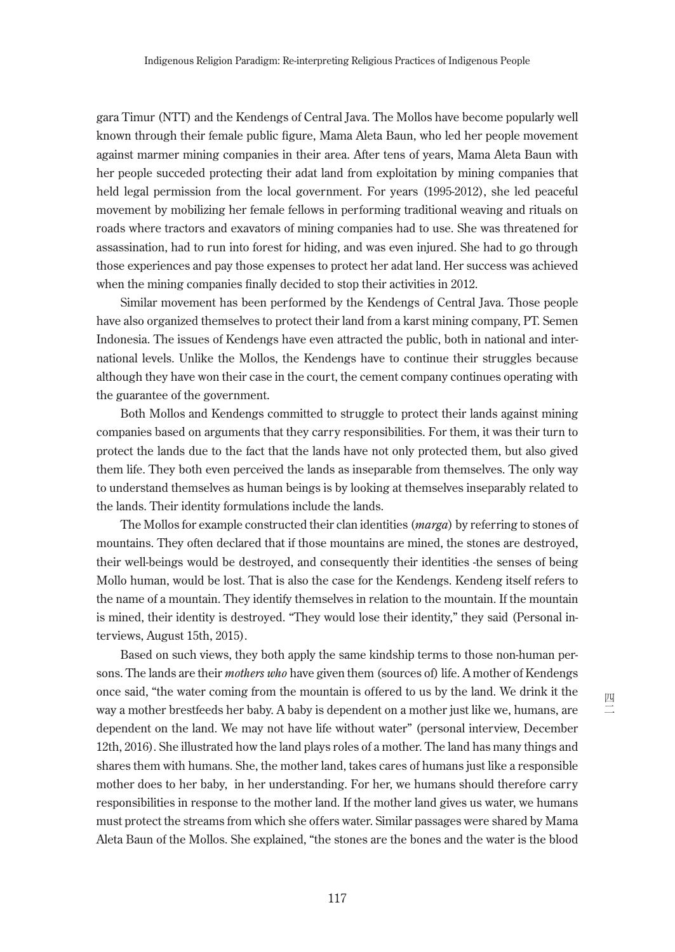gara Timur (NTT) and the Kendengs of Central Java. The Mollos have become popularly well known through their female public figure, Mama Aleta Baun, who led her people movement against marmer mining companies in their area. After tens of years, Mama Aleta Baun with her people succeded protecting their adat land from exploitation by mining companies that held legal permission from the local government. For years (1995-2012), she led peaceful movement by mobilizing her female fellows in performing traditional weaving and rituals on roads where tractors and exavators of mining companies had to use. She was threatened for assassination, had to run into forest for hiding, and was even injured. She had to go through those experiences and pay those expenses to protect her adat land. Her success was achieved when the mining companies finally decided to stop their activities in 2012.

Similar movement has been performed by the Kendengs of Central Java. Those people have also organized themselves to protect their land from a karst mining company, PT. Semen Indonesia. The issues of Kendengs have even attracted the public, both in national and international levels. Unlike the Mollos, the Kendengs have to continue their struggles because although they have won their case in the court, the cement company continues operating with the guarantee of the government.

Both Mollos and Kendengs committed to struggle to protect their lands against mining companies based on arguments that they carry responsibilities. For them, it was their turn to protect the lands due to the fact that the lands have not only protected them, but also gived them life. They both even perceived the lands as inseparable from themselves. The only way to understand themselves as human beings is by looking at themselves inseparably related to the lands. Their identity formulations include the lands.

The Mollos for example constructed their clan identities (*marga*) by referring to stones of mountains. They often declared that if those mountains are mined, the stones are destroyed, their well-beings would be destroyed, and consequently their identities -the senses of being Mollo human, would be lost. That is also the case for the Kendengs. Kendeng itself refers to the name of a mountain. They identify themselves in relation to the mountain. If the mountain is mined, their identity is destroyed. "They would lose their identity," they said (Personal interviews, August 15th, 2015).

Based on such views, they both apply the same kindship terms to those non-human persons. The lands are their *mothers who* have given them (sources of) life. A mother of Kendengs once said, "the water coming from the mountain is offered to us by the land. We drink it the way a mother brestfeeds her baby. A baby is dependent on a mother just like we, humans, are dependent on the land. We may not have life without water" (personal interview, December 12th, 2016). She illustrated how the land plays roles of a mother. The land has many things and shares them with humans. She, the mother land, takes cares of humans just like a responsible mother does to her baby, in her understanding. For her, we humans should therefore carry responsibilities in response to the mother land. If the mother land gives us water, we humans must protect the streams from which she offers water. Similar passages were shared by Mama Aleta Baun of the Mollos. She explained, "the stones are the bones and the water is the blood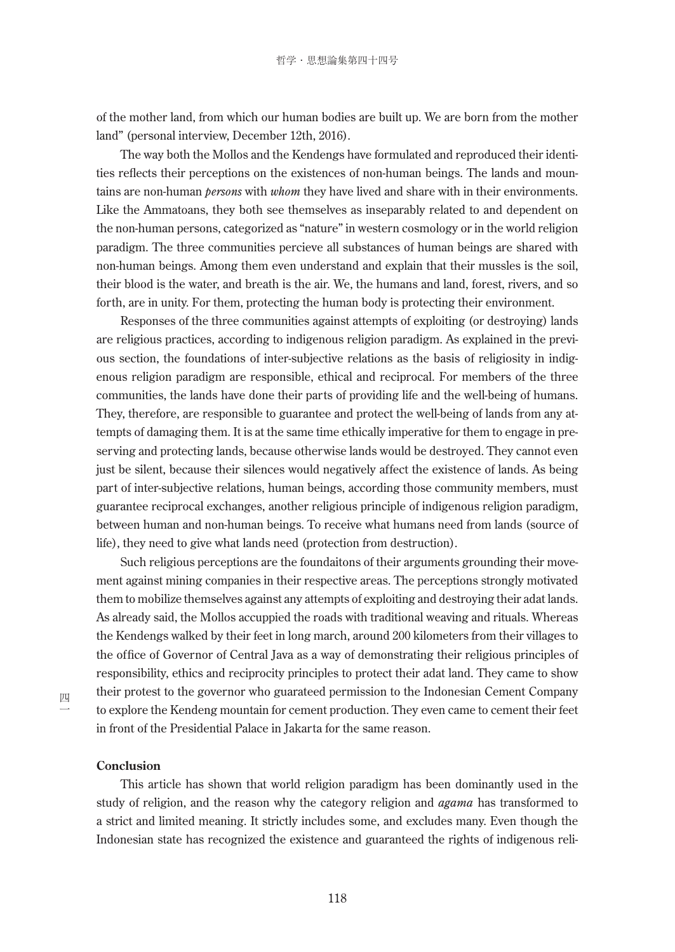of the mother land, from which our human bodies are built up. We are born from the mother land" (personal interview, December 12th, 2016).

The way both the Mollos and the Kendengs have formulated and reproduced their identities reflects their perceptions on the existences of non-human beings. The lands and mountains are non-human *persons* with *whom* they have lived and share with in their environments. Like the Ammatoans, they both see themselves as inseparably related to and dependent on the non-human persons, categorized as "nature" in western cosmology or in the world religion paradigm. The three communities percieve all substances of human beings are shared with non-human beings. Among them even understand and explain that their mussles is the soil, their blood is the water, and breath is the air. We, the humans and land, forest, rivers, and so forth, are in unity. For them, protecting the human body is protecting their environment.

Responses of the three communities against attempts of exploiting (or destroying) lands are religious practices, according to indigenous religion paradigm. As explained in the previous section, the foundations of inter-subjective relations as the basis of religiosity in indigenous religion paradigm are responsible, ethical and reciprocal. For members of the three communities, the lands have done their parts of providing life and the well-being of humans. They, therefore, are responsible to guarantee and protect the well-being of lands from any attempts of damaging them. It is at the same time ethically imperative for them to engage in preserving and protecting lands, because otherwise lands would be destroyed. They cannot even just be silent, because their silences would negatively affect the existence of lands. As being part of inter-subjective relations, human beings, according those community members, must guarantee reciprocal exchanges, another religious principle of indigenous religion paradigm, between human and non-human beings. To receive what humans need from lands (source of life), they need to give what lands need (protection from destruction).

Such religious perceptions are the foundaitons of their arguments grounding their movement against mining companies in their respective areas. The perceptions strongly motivated them to mobilize themselves against any attempts of exploiting and destroying their adat lands. As already said, the Mollos accuppied the roads with traditional weaving and rituals. Whereas the Kendengs walked by their feet in long march, around 200 kilometers from their villages to the office of Governor of Central Java as a way of demonstrating their religious principles of responsibility, ethics and reciprocity principles to protect their adat land. They came to show their protest to the governor who guarateed permission to the Indonesian Cement Company to explore the Kendeng mountain for cement production. They even came to cement their feet in front of the Presidential Palace in Jakarta for the same reason.

## **Conclusion**

This article has shown that world religion paradigm has been dominantly used in the study of religion, and the reason why the category religion and *agama* has transformed to a strict and limited meaning. It strictly includes some, and excludes many. Even though the Indonesian state has recognized the existence and guaranteed the rights of indigenous reli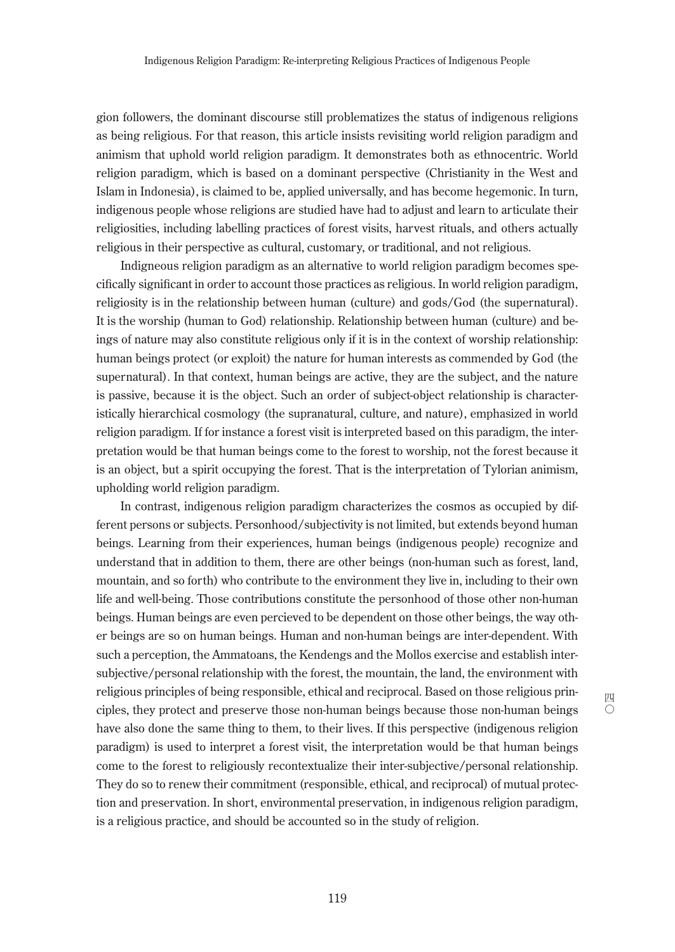gion followers, the dominant discourse still problematizes the status of indigenous religions as being religious. For that reason, this article insists revisiting world religion paradigm and animism that uphold world religion paradigm. It demonstrates both as ethnocentric. World religion paradigm, which is based on a dominant perspective (Christianity in the West and Islam in Indonesia), is claimed to be, applied universally, and has become hegemonic. In turn, indigenous people whose religions are studied have had to adjust and learn to articulate their religiosities, including labelling practices of forest visits, harvest rituals, and others actually religious in their perspective as cultural, customary, or traditional, and not religious.

Indigneous religion paradigm as an alternative to world religion paradigm becomes specifically significant in order to account those practices as religious. In world religion paradigm, religiosity is in the relationship between human (culture) and gods/God (the supernatural). It is the worship (human to God) relationship. Relationship between human (culture) and beings of nature may also constitute religious only if it is in the context of worship relationship: human beings protect (or exploit) the nature for human interests as commended by God (the supernatural). In that context, human beings are active, they are the subject, and the nature is passive, because it is the object. Such an order of subject-object relationship is characteristically hierarchical cosmology (the supranatural, culture, and nature), emphasized in world religion paradigm. If for instance a forest visit is interpreted based on this paradigm, the interpretation would be that human beings come to the forest to worship, not the forest because it is an object, but a spirit occupying the forest. That is the interpretation of Tylorian animism, upholding world religion paradigm.

In contrast, indigenous religion paradigm characterizes the cosmos as occupied by different persons or subjects. Personhood/subjectivity is not limited, but extends beyond human beings. Learning from their experiences, human beings (indigenous people) recognize and understand that in addition to them, there are other beings (non-human such as forest, land, mountain, and so forth) who contribute to the environment they live in, including to their own life and well-being. Those contributions constitute the personhood of those other non-human beings. Human beings are even percieved to be dependent on those other beings, the way other beings are so on human beings. Human and non-human beings are inter-dependent. With such a perception, the Ammatoans, the Kendengs and the Mollos exercise and establish intersubjective/personal relationship with the forest, the mountain, the land, the environment with religious principles of being responsible, ethical and reciprocal. Based on those religious principles, they protect and preserve those non-human beings because those non-human beings have also done the same thing to them, to their lives. If this perspective (indigenous religion paradigm) is used to interpret a forest visit, the interpretation would be that human beings come to the forest to religiously recontextualize their inter-subjective/personal relationship. They do so to renew their commitment (responsible, ethical, and reciprocal) of mutual protection and preservation. In short, environmental preservation, in indigenous religion paradigm, is a religious practice, and should be accounted so in the study of religion.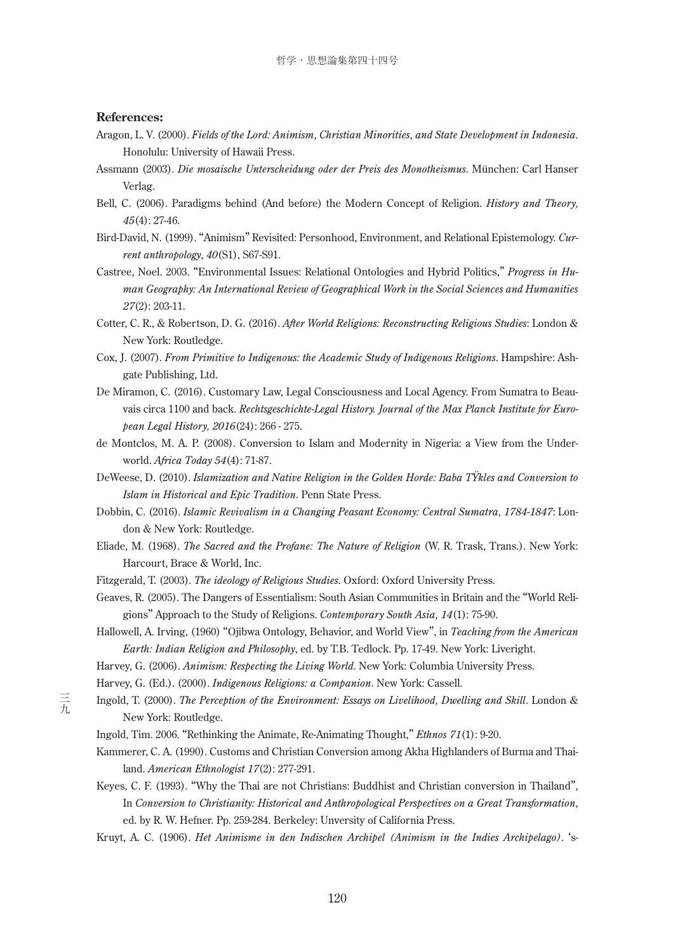#### **References:**

- Aragon, L. V. (2000). *Fields of the Lord: Animism, Christian Minorities, and State Development in Indonesia*. Honolulu: University of Hawaii Press.
- Assmann (2003). *Die mosaische Unterscheidung oder der Preis des Monotheismus*. München: Carl Hanser Verlag.
- Bell, C. (2006). Paradigms behind (And before) the Modern Concept of Religion. *History and Theory, 45*(4): 27-46.
- Bird-David, N. (1999)."Animism" Revisited: Personhood, Environment, and Relational Epistemology. *Current anthropology*, *40*(S1), S67-S91.
- Castree, Noel. 2003. "Environmental Issues: Relational Ontologies and Hybrid Politics," *Progress in Human Geography: An International Review of Geographical Work in the Social Sciences and Humanities 27*(2): 203-11.
- Cotter, C. R., & Robertson, D. G. (2016). *After World Religions: Reconstructing Religious Studies*: London & New York: Routledge.
- Cox, J. (2007). *From Primitive to Indigenous: the Academic Study of Indigenous Religions*. Hampshire: Ashgate Publishing, Ltd.
- De Miramon, C. (2016). Customary Law, Legal Consciousness and Local Agency. From Sumatra to Beauvais circa 1100 and back. *Rechtsgeschichte-Legal History. Journal of the Max Planck Institute for European Legal History, 2016*(24): 266 - 275.
- de Montclos, M. A. P. (2008). Conversion to Islam and Modernity in Nigeria: a View from the Underworld. *Africa Today 54*(4): 71-87.
- DeWeese, D. (2010). *Islamization and Native Religion in the Golden Horde: Baba TŸkles and Conversion to Islam in Historical and Epic Tradition*. Penn State Press.
- Dobbin, C. (2016). *Islamic Revivalism in a Changing Peasant Economy: Central Sumatra, 1784-1847*: London & New York: Routledge.
- Eliade, M. (1968). *The Sacred and the Profane: The Nature of Religion* (W. R. Trask, Trans.). New York: Harcourt, Brace & World, Inc.
- Fitzgerald, T. (2003). *The ideology of Religious Studies*. Oxford: Oxford University Press.
- Geaves, R. (2005). The Dangers of Essentialism: South Asian Communities in Britain and the "World Religions" Approach to the Study of Religions. *Contemporary South Asia, 14*(1): 75-90.
- Hallowell, A. Irving, (1960) "Ojibwa Ontology, Behavior, and World View", in *Teaching from the American Earth: Indian Religion and Philosophy*, ed. by T.B. Tedlock. Pp. 17-49. New York: Liveright.
- Harvey, G. (2006). *Animism: Respecting the Living World*. New York: Columbia University Press.
- Harvey, G. (Ed.). (2000). *Indigenous Religions: a Companion*. New York: Cassell.
- Ingold, T. (2000). *The Perception of the Environment: Essays on Livelihood, Dwelling and Skill*. London & New York: Routledge.
	- Ingold, Tim. 2006. "Rethinking the Animate, Re-Animating Thought," *Ethnos 71*(1): 9-20.
	- Kammerer, C. A. (1990). Customs and Christian Conversion among Akha Highlanders of Burma and Thailand. *American Ethnologist 17*(2): 277-291.
	- Keyes, C. F. (1993). "Why the Thai are not Christians: Buddhist and Christian conversion in Thailand", In *Conversion to Christianity: Historical and Anthropological Perspectives on a Great Transformation*, ed. by R. W. Hefner. Pp. 259-284. Berkeley: Unversity of California Press.
	- Kruyt, A. C. (1906). *Het Animisme in den Indischen Archipel (Animism in the Indies Archipelago)*. 's-